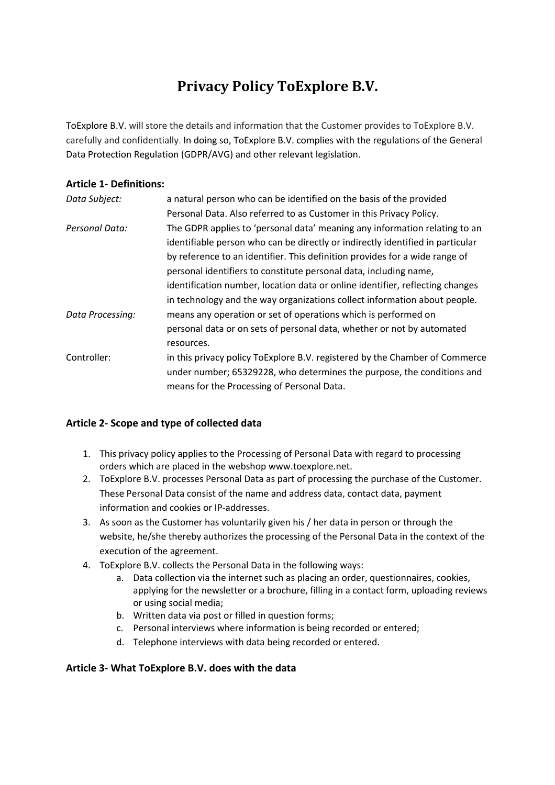# **Privacy Policy ToExplore B.V.**

ToExplore B.V. will store the details and information that the Customer provides to ToExplore B.V. carefully and confidentially. In doing so, ToExplore B.V. complies with the regulations of the General Data Protection Regulation (GDPR/AVG) and other relevant legislation.

## **Article 1- Definitions:**

| a natural person who can be identified on the basis of the provided            |
|--------------------------------------------------------------------------------|
| Personal Data. Also referred to as Customer in this Privacy Policy.            |
| The GDPR applies to 'personal data' meaning any information relating to an     |
| identifiable person who can be directly or indirectly identified in particular |
| by reference to an identifier. This definition provides for a wide range of    |
| personal identifiers to constitute personal data, including name,              |
| identification number, location data or online identifier, reflecting changes  |
| in technology and the way organizations collect information about people.      |
| means any operation or set of operations which is performed on                 |
| personal data or on sets of personal data, whether or not by automated         |
| resources.                                                                     |
| in this privacy policy ToExplore B.V. registered by the Chamber of Commerce    |
| under number; 65329228, who determines the purpose, the conditions and         |
| means for the Processing of Personal Data.                                     |
|                                                                                |

#### **Article 2- Scope and type of collected data**

- 1. This privacy policy applies to the Processing of Personal Data with regard to processing orders which are placed in the webshop www.toexplore.net.
- 2. ToExplore B.V. processes Personal Data as part of processing the purchase of the Customer. These Personal Data consist of the name and address data, contact data, payment information and cookies or IP-addresses.
- 3. As soon as the Customer has voluntarily given his / her data in person or through the website, he/she thereby authorizes the processing of the Personal Data in the context of the execution of the agreement.
- 4. ToExplore B.V. collects the Personal Data in the following ways:
	- a. Data collection via the internet such as placing an order, questionnaires, cookies, applying for the newsletter or a brochure, filling in a contact form, uploading reviews or using social media;
	- b. Written data via post or filled in question forms;
	- c. Personal interviews where information is being recorded or entered;
	- d. Telephone interviews with data being recorded or entered.

# **Article 3- What ToExplore B.V. does with the data**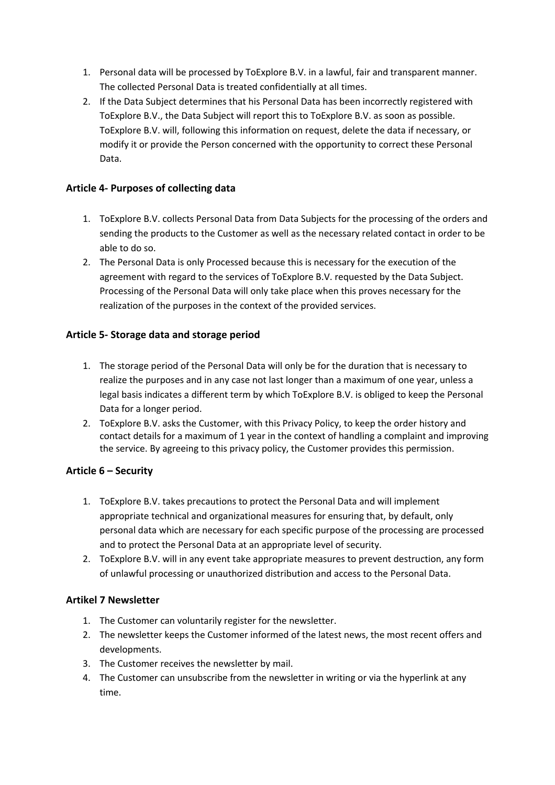- 1. Personal data will be processed by ToExplore B.V. in a lawful, fair and transparent manner. The collected Personal Data is treated confidentially at all times.
- 2. If the Data Subject determines that his Personal Data has been incorrectly registered with ToExplore B.V., the Data Subject will report this to ToExplore B.V. as soon as possible. ToExplore B.V. will, following this information on request, delete the data if necessary, or modify it or provide the Person concerned with the opportunity to correct these Personal Data.

# **Article 4- Purposes of collecting data**

- 1. ToExplore B.V. collects Personal Data from Data Subjects for the processing of the orders and sending the products to the Customer as well as the necessary related contact in order to be able to do so.
- 2. The Personal Data is only Processed because this is necessary for the execution of the agreement with regard to the services of ToExplore B.V. requested by the Data Subject. Processing of the Personal Data will only take place when this proves necessary for the realization of the purposes in the context of the provided services.

# **Article 5- Storage data and storage period**

- 1. The storage period of the Personal Data will only be for the duration that is necessary to realize the purposes and in any case not last longer than a maximum of one year, unless a legal basis indicates a different term by which ToExplore B.V. is obliged to keep the Personal Data for a longer period.
- 2. ToExplore B.V. asks the Customer, with this Privacy Policy, to keep the order history and contact details for a maximum of 1 year in the context of handling a complaint and improving the service. By agreeing to this privacy policy, the Customer provides this permission.

# **Article 6 – Security**

- 1. ToExplore B.V. takes precautions to protect the Personal Data and will implement appropriate technical and organizational measures for ensuring that, by default, only personal data which are necessary for each specific purpose of the processing are processed and to protect the Personal Data at an appropriate level of security.
- 2. ToExplore B.V. will in any event take appropriate measures to prevent destruction, any form of unlawful processing or unauthorized distribution and access to the Personal Data.

# **Artikel 7 Newsletter**

- 1. The Customer can voluntarily register for the newsletter.
- 2. The newsletter keeps the Customer informed of the latest news, the most recent offers and developments.
- 3. The Customer receives the newsletter by mail.
- 4. The Customer can unsubscribe from the newsletter in writing or via the hyperlink at any time.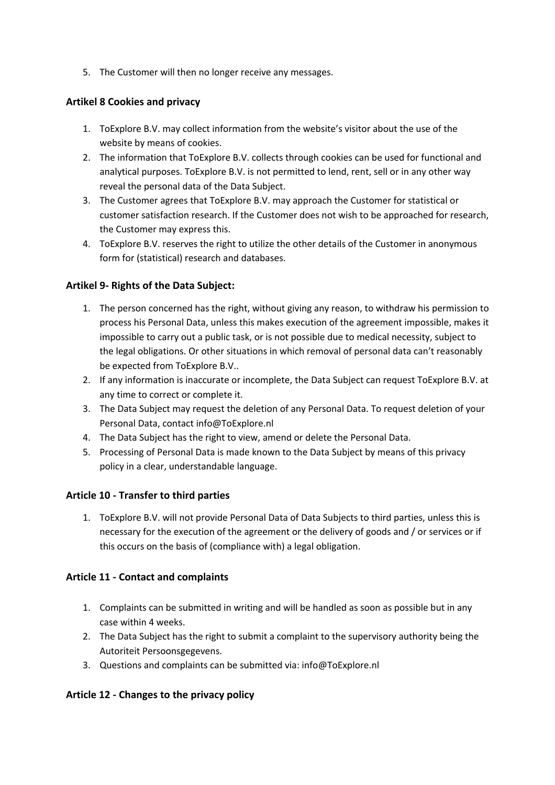5. The Customer will then no longer receive any messages.

#### **Artikel 8 Cookies and privacy**

- 1. ToExplore B.V. may collect information from the website's visitor about the use of the website by means of cookies.
- 2. The information that ToExplore B.V. collects through cookies can be used for functional and analytical purposes. ToExplore B.V. is not permitted to lend, rent, sell or in any other way reveal the personal data of the Data Subject.
- 3. The Customer agrees that ToExplore B.V. may approach the Customer for statistical or customer satisfaction research. If the Customer does not wish to be approached for research, the Customer may express this.
- 4. ToExplore B.V. reserves the right to utilize the other details of the Customer in anonymous form for (statistical) research and databases.

## **Artikel 9- Rights of the Data Subject:**

- 1. The person concerned has the right, without giving any reason, to withdraw his permission to process his Personal Data, unless this makes execution of the agreement impossible, makes it impossible to carry out a public task, or is not possible due to medical necessity, subject to the legal obligations. Or other situations in which removal of personal data can't reasonably be expected from ToExplore B.V..
- 2. If any information is inaccurate or incomplete, the Data Subject can request ToExplore B.V. at any time to correct or complete it.
- 3. The Data Subject may request the deletion of any Personal Data. To request deletion of your Personal Data, contact info@ToExplore.nl
- 4. The Data Subject has the right to view, amend or delete the Personal Data.
- 5. Processing of Personal Data is made known to the Data Subject by means of this privacy policy in a clear, understandable language.

#### **Article 10 - Transfer to third parties**

1. ToExplore B.V. will not provide Personal Data of Data Subjects to third parties, unless this is necessary for the execution of the agreement or the delivery of goods and / or services or if this occurs on the basis of (compliance with) a legal obligation.

#### **Article 11 - Contact and complaints**

- 1. Complaints can be submitted in writing and will be handled as soon as possible but in any case within 4 weeks.
- 2. The Data Subject has the right to submit a complaint to the supervisory authority being the Autoriteit Persoonsgegevens.
- 3. Questions and complaints can be submitted via: info@ToExplore.nl

#### **Article 12 - Changes to the privacy policy**